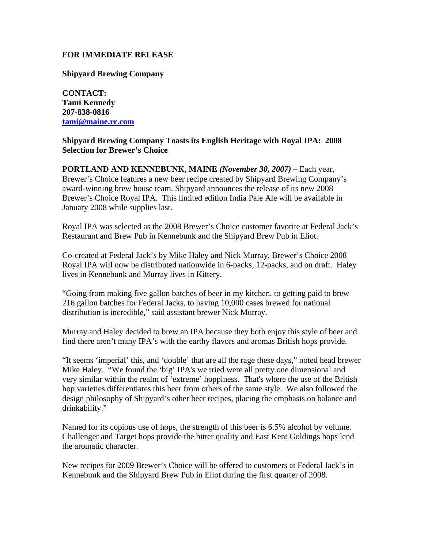## **FOR IMMEDIATE RELEASE**

**Shipyard Brewing Company**

**CONTACT: Tami Kennedy 207-838-0816 [tami@maine.rr.com](mailto:tami@maine.rr.com)**

## **Shipyard Brewing Company Toasts its English Heritage with Royal IPA: 2008 Selection for Brewer's Choice**

**PORTLAND AND KENNEBUNK, MAINE** *(November 30, 2007)* **–** Each year, Brewer's Choice features a new beer recipe created by Shipyard Brewing Company's award-winning brew house team. Shipyard announces the release of its new 2008 Brewer's Choice Royal IPA. This limited edition India Pale Ale will be available in January 2008 while supplies last.

Royal IPA was selected as the 2008 Brewer's Choice customer favorite at Federal Jack's Restaurant and Brew Pub in Kennebunk and the Shipyard Brew Pub in Eliot.

Co-created at Federal Jack's by Mike Haley and Nick Murray, Brewer's Choice 2008 Royal IPA will now be distributed nationwide in 6-packs, 12-packs, and on draft. Haley lives in Kennebunk and Murray lives in Kittery.

"Going from making five gallon batches of beer in my kitchen, to getting paid to brew 216 gallon batches for Federal Jacks, to having 10,000 cases brewed for national distribution is incredibl*e*," said assistant brewer Nick Murray.

Murray and Haley decided to brew an IPA because they both enjoy this style of beer and find there aren't many IPA's with the earthy flavors and aromas British hops provide.

"It seems 'imperial' this, and 'double' that are all the rage these days," noted head brewer Mike Haley. "We found the 'big' IPA's we tried were all pretty one dimensional and very similar within the realm of 'extreme' hoppiness. That's where the use of the British hop varieties differentiates this beer from others of the same style. We also followed the design philosophy of Shipyard's other beer recipes, placing the emphasis on balance and drinkability."

Named for its copious use of hops, the strength of this beer is 6.5% alcohol by volume. Challenger and Target hops provide the bitter quality and East Kent Goldings hops lend the aromatic character.

New recipes for 2009 Brewer's Choice will be offered to customers at Federal Jack's in Kennebunk and the Shipyard Brew Pub in Eliot during the first quarter of 2008.